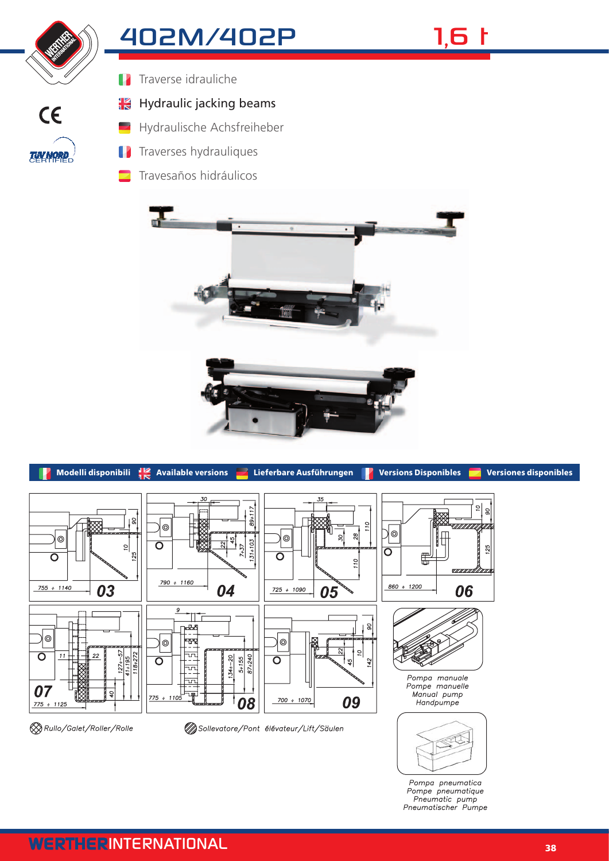

**TUV NORD**<br>CERTIFIED

 $C \in$ 

## 402M/402P 1,6 t

Traverse idrauliche  $\mathbf{R}$ 

## ¦K Hydraulic jacking beams

- Hydraulische Achsfreiheber
- Traverses hydrauliques
	- Travesaños hidráulicos





Pompa pneumatica Pompe pneumatique<br>Pneumatic pump<br>Pneumatischer Pumpe